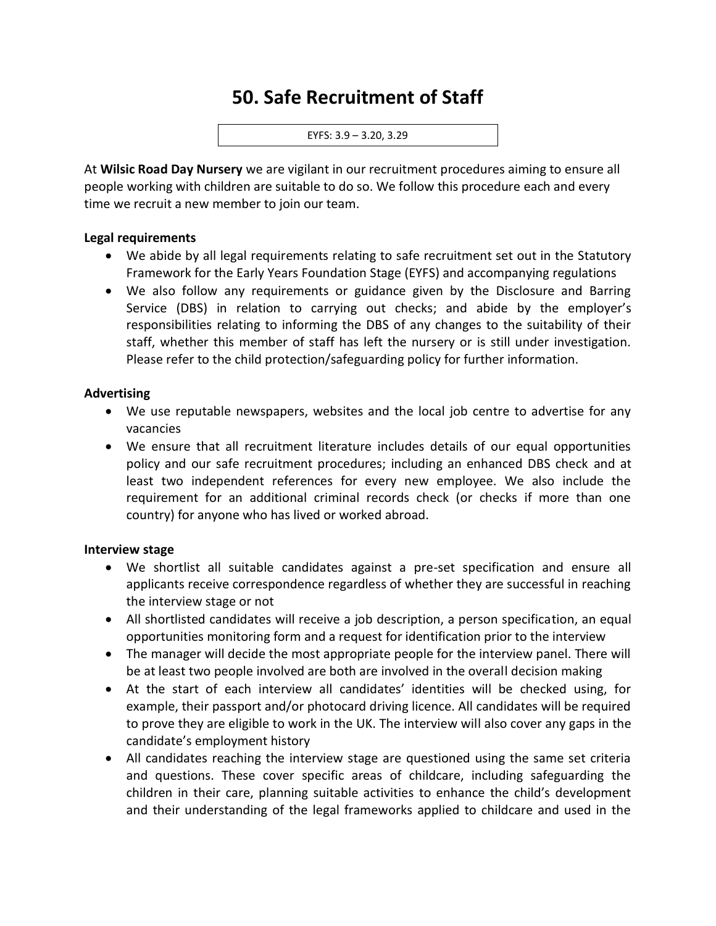# **50. Safe Recruitment of Staff**

EYFS: 3.9 – 3.20, 3.29

At **Wilsic Road Day Nursery** we are vigilant in our recruitment procedures aiming to ensure all people working with children are suitable to do so. We follow this procedure each and every time we recruit a new member to join our team.

#### **Legal requirements**

- We abide by all legal requirements relating to safe recruitment set out in the Statutory Framework for the Early Years Foundation Stage (EYFS) and accompanying regulations
- We also follow any requirements or guidance given by the Disclosure and Barring Service (DBS) in relation to carrying out checks; and abide by the employer's responsibilities relating to informing the DBS of any changes to the suitability of their staff, whether this member of staff has left the nursery or is still under investigation. Please refer to the child protection/safeguarding policy for further information.

#### **Advertising**

- We use reputable newspapers, websites and the local job centre to advertise for any vacancies
- We ensure that all recruitment literature includes details of our equal opportunities policy and our safe recruitment procedures; including an enhanced DBS check and at least two independent references for every new employee. We also include the requirement for an additional criminal records check (or checks if more than one country) for anyone who has lived or worked abroad.

#### **Interview stage**

- We shortlist all suitable candidates against a pre-set specification and ensure all applicants receive correspondence regardless of whether they are successful in reaching the interview stage or not
- All shortlisted candidates will receive a job description, a person specification, an equal opportunities monitoring form and a request for identification prior to the interview
- The manager will decide the most appropriate people for the interview panel. There will be at least two people involved are both are involved in the overall decision making
- At the start of each interview all candidates' identities will be checked using, for example, their passport and/or photocard driving licence. All candidates will be required to prove they are eligible to work in the UK. The interview will also cover any gaps in the candidate's employment history
- All candidates reaching the interview stage are questioned using the same set criteria and questions. These cover specific areas of childcare, including safeguarding the children in their care, planning suitable activities to enhance the child's development and their understanding of the legal frameworks applied to childcare and used in the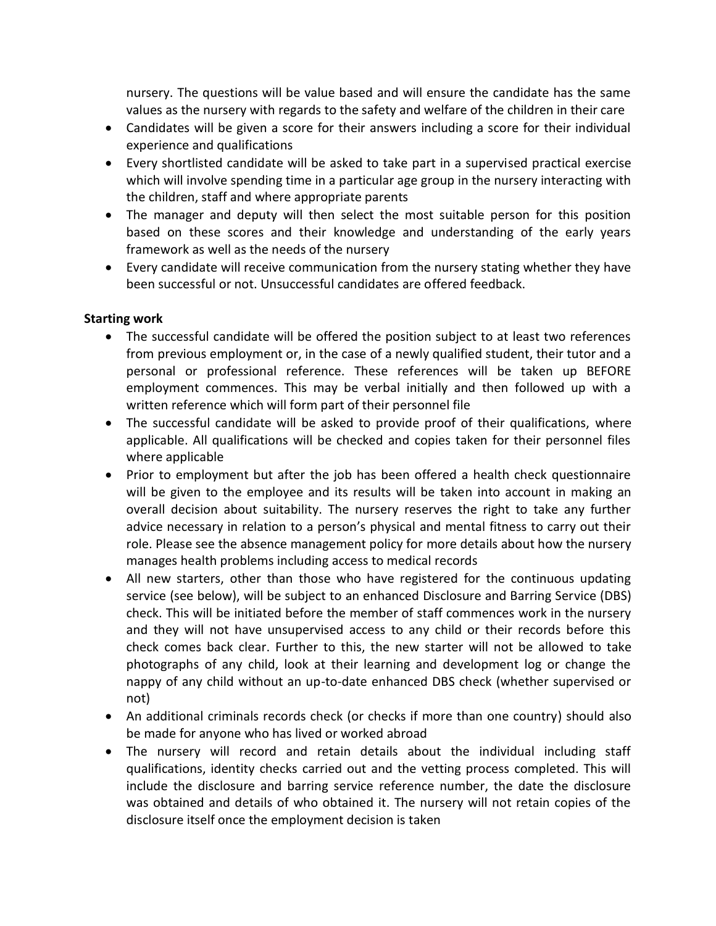nursery. The questions will be value based and will ensure the candidate has the same values as the nursery with regards to the safety and welfare of the children in their care

- Candidates will be given a score for their answers including a score for their individual experience and qualifications
- Every shortlisted candidate will be asked to take part in a supervised practical exercise which will involve spending time in a particular age group in the nursery interacting with the children, staff and where appropriate parents
- The manager and deputy will then select the most suitable person for this position based on these scores and their knowledge and understanding of the early years framework as well as the needs of the nursery
- Every candidate will receive communication from the nursery stating whether they have been successful or not. Unsuccessful candidates are offered feedback.

### **Starting work**

- The successful candidate will be offered the position subject to at least two references from previous employment or, in the case of a newly qualified student, their tutor and a personal or professional reference. These references will be taken up BEFORE employment commences. This may be verbal initially and then followed up with a written reference which will form part of their personnel file
- The successful candidate will be asked to provide proof of their qualifications, where applicable. All qualifications will be checked and copies taken for their personnel files where applicable
- Prior to employment but after the job has been offered a health check questionnaire will be given to the employee and its results will be taken into account in making an overall decision about suitability. The nursery reserves the right to take any further advice necessary in relation to a person's physical and mental fitness to carry out their role. Please see the absence management policy for more details about how the nursery manages health problems including access to medical records
- All new starters, other than those who have registered for the continuous updating service (see below), will be subject to an enhanced Disclosure and Barring Service (DBS) check. This will be initiated before the member of staff commences work in the nursery and they will not have unsupervised access to any child or their records before this check comes back clear. Further to this, the new starter will not be allowed to take photographs of any child, look at their learning and development log or change the nappy of any child without an up-to-date enhanced DBS check (whether supervised or not)
- An additional criminals records check (or checks if more than one country) should also be made for anyone who has lived or worked abroad
- The nursery will record and retain details about the individual including staff qualifications, identity checks carried out and the vetting process completed. This will include the disclosure and barring service reference number, the date the disclosure was obtained and details of who obtained it. The nursery will not retain copies of the disclosure itself once the employment decision is taken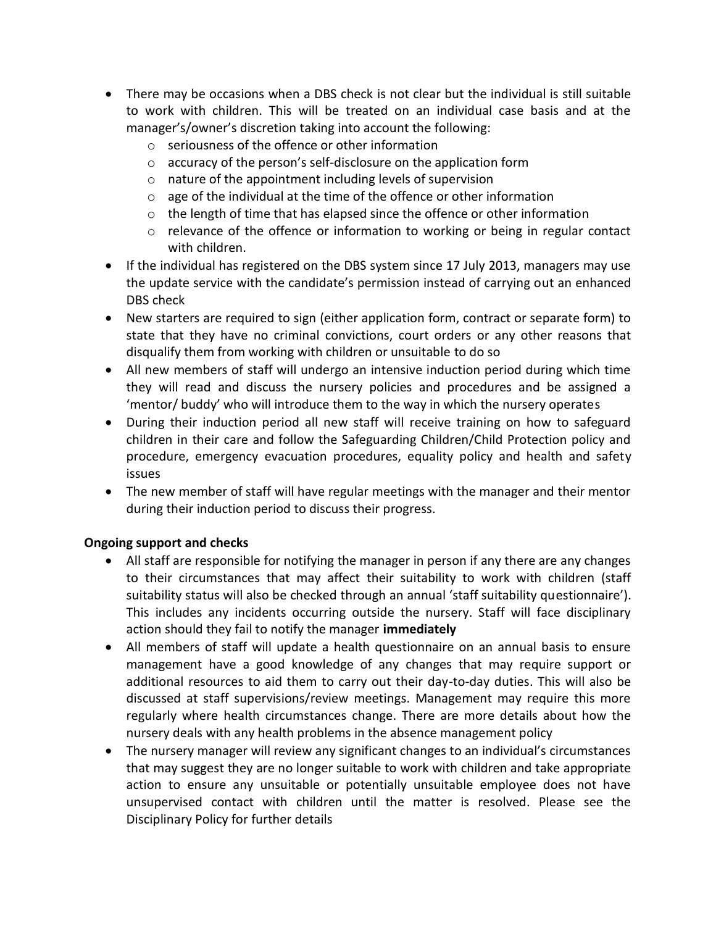- There may be occasions when a DBS check is not clear but the individual is still suitable to work with children. This will be treated on an individual case basis and at the manager's/owner's discretion taking into account the following:
	- o seriousness of the offence or other information
	- o accuracy of the person's self-disclosure on the application form
	- o nature of the appointment including levels of supervision
	- o age of the individual at the time of the offence or other information
	- $\circ$  the length of time that has elapsed since the offence or other information
	- o relevance of the offence or information to working or being in regular contact with children.
- If the individual has registered on the DBS system since 17 July 2013, managers may use the update service with the candidate's permission instead of carrying out an enhanced DBS check
- New starters are required to sign (either application form, contract or separate form) to state that they have no criminal convictions, court orders or any other reasons that disqualify them from working with children or unsuitable to do so
- All new members of staff will undergo an intensive induction period during which time they will read and discuss the nursery policies and procedures and be assigned a 'mentor/ buddy' who will introduce them to the way in which the nursery operates
- During their induction period all new staff will receive training on how to safeguard children in their care and follow the Safeguarding Children/Child Protection policy and procedure, emergency evacuation procedures, equality policy and health and safety issues
- The new member of staff will have regular meetings with the manager and their mentor during their induction period to discuss their progress.

## **Ongoing support and checks**

- All staff are responsible for notifying the manager in person if any there are any changes to their circumstances that may affect their suitability to work with children (staff suitability status will also be checked through an annual 'staff suitability questionnaire'). This includes any incidents occurring outside the nursery. Staff will face disciplinary action should they fail to notify the manager **immediately**
- All members of staff will update a health questionnaire on an annual basis to ensure management have a good knowledge of any changes that may require support or additional resources to aid them to carry out their day-to-day duties. This will also be discussed at staff supervisions/review meetings. Management may require this more regularly where health circumstances change. There are more details about how the nursery deals with any health problems in the absence management policy
- The nursery manager will review any significant changes to an individual's circumstances that may suggest they are no longer suitable to work with children and take appropriate action to ensure any unsuitable or potentially unsuitable employee does not have unsupervised contact with children until the matter is resolved. Please see the Disciplinary Policy for further details